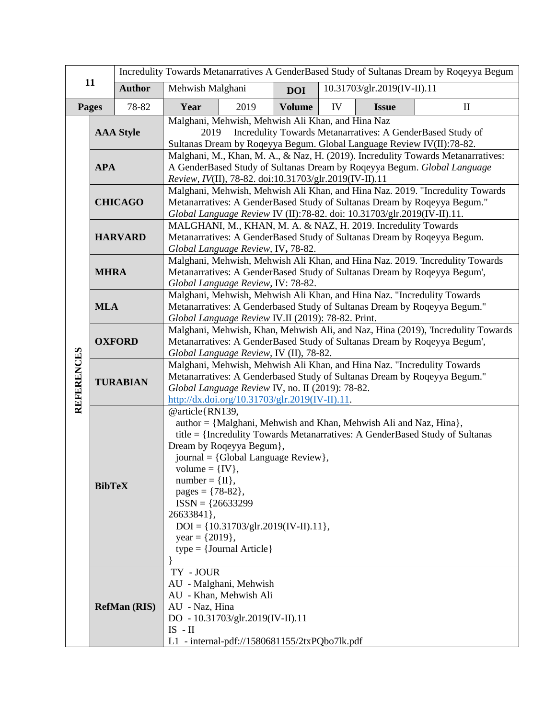| 11                |                                                                                                                                                                                                                                                                                                                                                                                                                                                                        | Incredulity Towards Metanarratives A GenderBased Study of Sultanas Dream by Roqeyya Begum |                                                                                                                                                                                                                                                                                                                  |                                                                                                                                       |               |    |                             |              |  |
|-------------------|------------------------------------------------------------------------------------------------------------------------------------------------------------------------------------------------------------------------------------------------------------------------------------------------------------------------------------------------------------------------------------------------------------------------------------------------------------------------|-------------------------------------------------------------------------------------------|------------------------------------------------------------------------------------------------------------------------------------------------------------------------------------------------------------------------------------------------------------------------------------------------------------------|---------------------------------------------------------------------------------------------------------------------------------------|---------------|----|-----------------------------|--------------|--|
|                   |                                                                                                                                                                                                                                                                                                                                                                                                                                                                        | <b>Author</b>                                                                             | Mehwish Malghani                                                                                                                                                                                                                                                                                                 |                                                                                                                                       | <b>DOI</b>    |    | 10.31703/glr.2019(IV-II).11 |              |  |
| <b>Pages</b>      |                                                                                                                                                                                                                                                                                                                                                                                                                                                                        | 78-82                                                                                     | Year                                                                                                                                                                                                                                                                                                             | 2019                                                                                                                                  | <b>Volume</b> | IV | <b>Issue</b>                | $\mathbf{I}$ |  |
|                   | <b>AAA Style</b>                                                                                                                                                                                                                                                                                                                                                                                                                                                       |                                                                                           | Malghani, Mehwish, Mehwish Ali Khan, and Hina Naz<br>Incredulity Towards Metanarratives: A GenderBased Study of<br>2019<br>Sultanas Dream by Roqeyya Begum. Global Language Review IV(II):78-82.                                                                                                                 |                                                                                                                                       |               |    |                             |              |  |
|                   | <b>APA</b>                                                                                                                                                                                                                                                                                                                                                                                                                                                             |                                                                                           | Malghani, M., Khan, M. A., & Naz, H. (2019). Incredulity Towards Metanarratives:<br>A GenderBased Study of Sultanas Dream by Roqeyya Begum. Global Language<br>Review, IV(II), 78-82. doi:10.31703/glr.2019(IV-II).11                                                                                            |                                                                                                                                       |               |    |                             |              |  |
|                   | <b>CHICAGO</b>                                                                                                                                                                                                                                                                                                                                                                                                                                                         |                                                                                           | Malghani, Mehwish, Mehwish Ali Khan, and Hina Naz. 2019. "Incredulity Towards<br>Metanarratives: A GenderBased Study of Sultanas Dream by Roqeyya Begum."<br>Global Language Review IV (II):78-82. doi: 10.31703/glr.2019(IV-II).11.                                                                             |                                                                                                                                       |               |    |                             |              |  |
| <b>REFERENCES</b> | <b>HARVARD</b>                                                                                                                                                                                                                                                                                                                                                                                                                                                         |                                                                                           | MALGHANI, M., KHAN, M. A. & NAZ, H. 2019. Incredulity Towards<br>Metanarratives: A GenderBased Study of Sultanas Dream by Roqeyya Begum.<br>Global Language Review, IV, 78-82.                                                                                                                                   |                                                                                                                                       |               |    |                             |              |  |
|                   | <b>MHRA</b>                                                                                                                                                                                                                                                                                                                                                                                                                                                            |                                                                                           | Malghani, Mehwish, Mehwish Ali Khan, and Hina Naz. 2019. 'Incredulity Towards<br>Metanarratives: A GenderBased Study of Sultanas Dream by Roqeyya Begum',<br>Global Language Review, IV: 78-82.                                                                                                                  |                                                                                                                                       |               |    |                             |              |  |
|                   | <b>MLA</b>                                                                                                                                                                                                                                                                                                                                                                                                                                                             |                                                                                           | Malghani, Mehwish, Mehwish Ali Khan, and Hina Naz. "Incredulity Towards<br>Metanarratives: A Genderbased Study of Sultanas Dream by Roqeyya Begum."<br>Global Language Review IV.II (2019): 78-82. Print.                                                                                                        |                                                                                                                                       |               |    |                             |              |  |
|                   | <b>OXFORD</b>                                                                                                                                                                                                                                                                                                                                                                                                                                                          |                                                                                           | Malghani, Mehwish, Khan, Mehwish Ali, and Naz, Hina (2019), 'Incredulity Towards<br>Metanarratives: A GenderBased Study of Sultanas Dream by Roqeyya Begum',<br>Global Language Review, IV (II), 78-82.                                                                                                          |                                                                                                                                       |               |    |                             |              |  |
|                   | <b>TURABIAN</b>                                                                                                                                                                                                                                                                                                                                                                                                                                                        |                                                                                           | Malghani, Mehwish, Mehwish Ali Khan, and Hina Naz. "Incredulity Towards<br>Metanarratives: A Genderbased Study of Sultanas Dream by Roqeyya Begum."<br>Global Language Review IV, no. II (2019): 78-82.<br>$\frac{http://dx.doi.org/10.31703/glr.2019(IV-II).11}{http://dx.doi.org/10.31703/glr.2019(IV-II).11}$ |                                                                                                                                       |               |    |                             |              |  |
|                   | @article{RN139,<br>author = {Malghani, Mehwish and Khan, Mehwish Ali and Naz, Hina},<br>title = {Incredulity Towards Metanarratives: A GenderBased Study of Sultanas<br>Dream by Roqeyya Begum},<br>journal = {Global Language Review},<br>volume = $\{IV\}$ ,<br>$number = \{II\},\$<br><b>BibTeX</b><br>pages = $\{78-82\}$ ,<br>$ISSN = {26633299}$<br>26633841},<br>$DOI = \{10.31703/glr.2019(IV-II).11\},\$<br>year = $\{2019\}$ ,<br>$type = {Journal Article}$ |                                                                                           |                                                                                                                                                                                                                                                                                                                  |                                                                                                                                       |               |    |                             |              |  |
|                   |                                                                                                                                                                                                                                                                                                                                                                                                                                                                        | <b>RefMan (RIS)</b>                                                                       | TY - JOUR<br>AU - Naz, Hina<br>$IS$ - $II$                                                                                                                                                                                                                                                                       | AU - Malghani, Mehwish<br>AU - Khan, Mehwish Ali<br>DO - 10.31703/glr.2019(IV-II).11<br>L1 - internal-pdf://1580681155/2txPQbo7lk.pdf |               |    |                             |              |  |